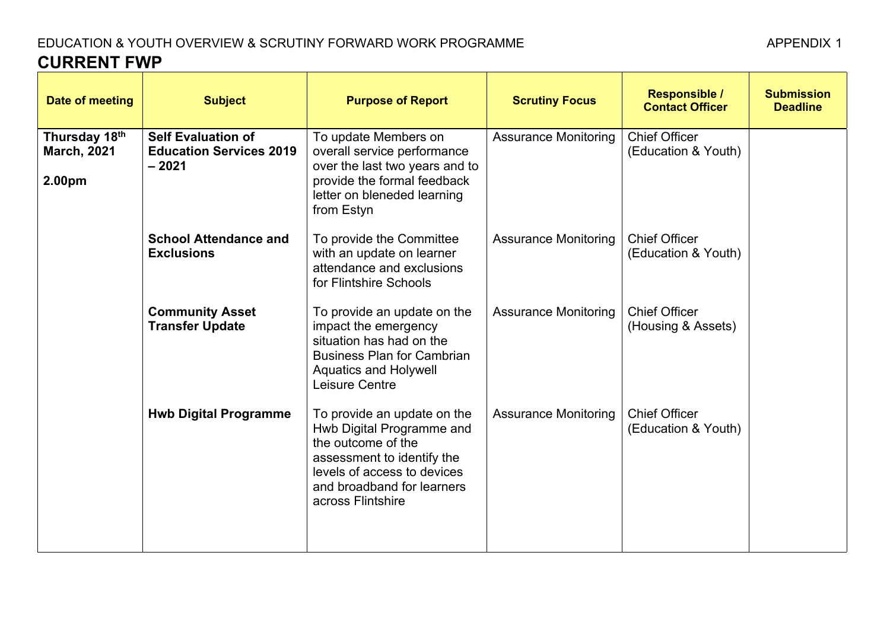## EDUCATION & YOUTH OVERVIEW & SCRUTINY FORWARD WORK PROGRAMME **CURRENT FWP**

| Date of meeting                               | <b>Subject</b>                                                         | <b>Purpose of Report</b>                                                                                                                                                                       | <b>Scrutiny Focus</b>       | <b>Responsible /</b><br><b>Contact Officer</b> | <b>Submission</b><br><b>Deadline</b> |
|-----------------------------------------------|------------------------------------------------------------------------|------------------------------------------------------------------------------------------------------------------------------------------------------------------------------------------------|-----------------------------|------------------------------------------------|--------------------------------------|
| Thursday 18th<br><b>March, 2021</b><br>2.00pm | <b>Self Evaluation of</b><br><b>Education Services 2019</b><br>$-2021$ | To update Members on<br>overall service performance<br>over the last two years and to<br>provide the formal feedback<br>letter on bleneded learning<br>from Estyn                              | <b>Assurance Monitoring</b> | <b>Chief Officer</b><br>(Education & Youth)    |                                      |
|                                               | <b>School Attendance and</b><br><b>Exclusions</b>                      | To provide the Committee<br>with an update on learner<br>attendance and exclusions<br>for Flintshire Schools                                                                                   | <b>Assurance Monitoring</b> | <b>Chief Officer</b><br>(Education & Youth)    |                                      |
|                                               | <b>Community Asset</b><br><b>Transfer Update</b>                       | To provide an update on the<br>impact the emergency<br>situation has had on the<br><b>Business Plan for Cambrian</b><br><b>Aquatics and Holywell</b><br>Leisure Centre                         | <b>Assurance Monitoring</b> | <b>Chief Officer</b><br>(Housing & Assets)     |                                      |
|                                               | <b>Hwb Digital Programme</b>                                           | To provide an update on the<br>Hwb Digital Programme and<br>the outcome of the<br>assessment to identify the<br>levels of access to devices<br>and broadband for learners<br>across Flintshire | <b>Assurance Monitoring</b> | <b>Chief Officer</b><br>(Education & Youth)    |                                      |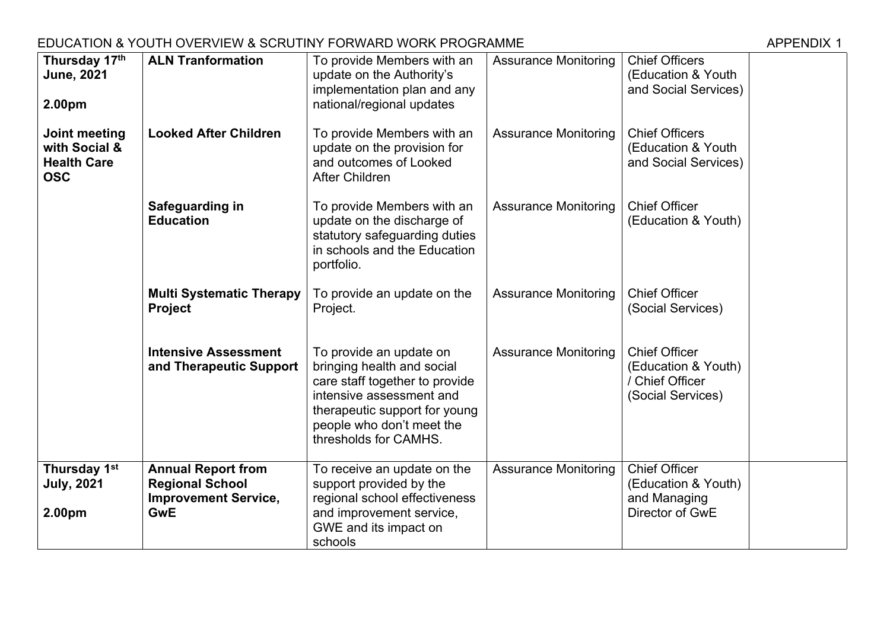### EDUCATION & YOUTH OVERVIEW & SCRUTINY FORWARD WORK PROGRAMME AND THE MANUSCREE APPENDIX 1

| Thursday 17th<br><b>June, 2021</b><br>2.00pm                       | <b>ALN Tranformation</b>                                                                         | To provide Members with an<br>update on the Authority's<br>implementation plan and any<br>national/regional updates                                                                                        | <b>Assurance Monitoring</b> | <b>Chief Officers</b><br>(Education & Youth<br>and Social Services)                 |  |
|--------------------------------------------------------------------|--------------------------------------------------------------------------------------------------|------------------------------------------------------------------------------------------------------------------------------------------------------------------------------------------------------------|-----------------------------|-------------------------------------------------------------------------------------|--|
| Joint meeting<br>with Social &<br><b>Health Care</b><br><b>OSC</b> | <b>Looked After Children</b>                                                                     | To provide Members with an<br>update on the provision for<br>and outcomes of Looked<br><b>After Children</b>                                                                                               | <b>Assurance Monitoring</b> | <b>Chief Officers</b><br>(Education & Youth<br>and Social Services)                 |  |
|                                                                    | Safeguarding in<br><b>Education</b>                                                              | To provide Members with an<br>update on the discharge of<br>statutory safeguarding duties<br>in schools and the Education<br>portfolio.                                                                    | <b>Assurance Monitoring</b> | <b>Chief Officer</b><br>(Education & Youth)                                         |  |
|                                                                    | <b>Multi Systematic Therapy</b><br><b>Project</b>                                                | To provide an update on the<br>Project.                                                                                                                                                                    | <b>Assurance Monitoring</b> | <b>Chief Officer</b><br>(Social Services)                                           |  |
|                                                                    | <b>Intensive Assessment</b><br>and Therapeutic Support                                           | To provide an update on<br>bringing health and social<br>care staff together to provide<br>intensive assessment and<br>therapeutic support for young<br>people who don't meet the<br>thresholds for CAMHS. | <b>Assurance Monitoring</b> | <b>Chief Officer</b><br>(Education & Youth)<br>/ Chief Officer<br>(Social Services) |  |
| Thursday 1st<br><b>July, 2021</b><br>2.00pm                        | <b>Annual Report from</b><br><b>Regional School</b><br><b>Improvement Service,</b><br><b>GwE</b> | To receive an update on the<br>support provided by the<br>regional school effectiveness<br>and improvement service,<br>GWE and its impact on<br>schools                                                    | <b>Assurance Monitoring</b> | <b>Chief Officer</b><br>(Education & Youth)<br>and Managing<br>Director of GwE      |  |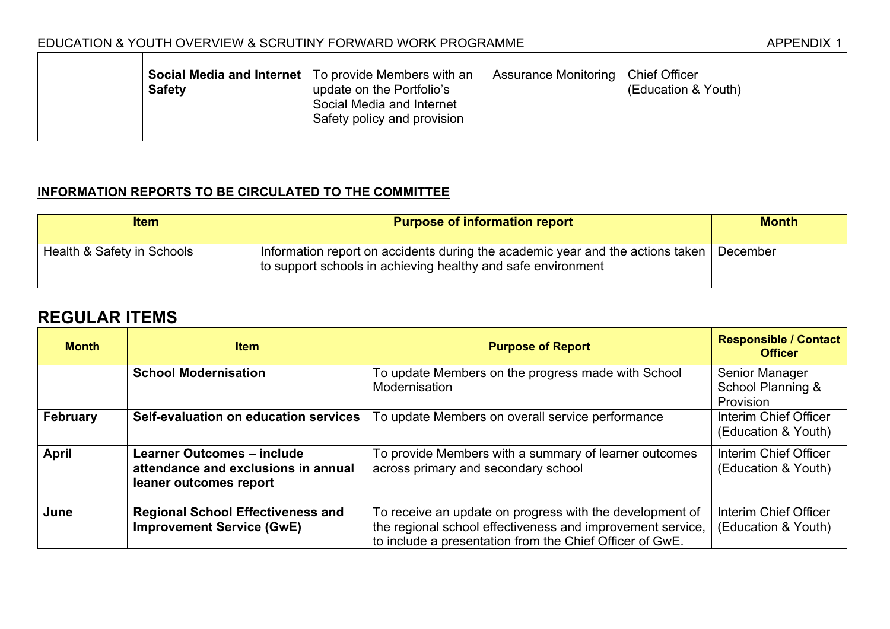#### EDUCATION & YOUTH OVERVIEW & SCRUTINY FORWARD WORK PROGRAMME

| <b>Safety</b> | <b>Social Media and Internet</b>   To provide Members with an<br>update on the Portfolio's<br>Social Media and Internet<br>Safety policy and provision | Assurance Monitoring   Chief Officer | (Education & Youth) |  |
|---------------|--------------------------------------------------------------------------------------------------------------------------------------------------------|--------------------------------------|---------------------|--|
|---------------|--------------------------------------------------------------------------------------------------------------------------------------------------------|--------------------------------------|---------------------|--|

## **INFORMATION REPORTS TO BE CIRCULATED TO THE COMMITTEE**

| <b>Item</b>                | <b>Purpose of information report</b>                                                                                                           | <b>Month</b> |
|----------------------------|------------------------------------------------------------------------------------------------------------------------------------------------|--------------|
| Health & Safety in Schools | Information report on accidents during the academic year and the actions taken<br>to support schools in achieving healthy and safe environment | December     |

# **REGULAR ITEMS**

| <b>Month</b>    | <b>Item</b>                                                                                        | <b>Purpose of Report</b>                                                                                                                                                           | <b>Responsible / Contact</b><br><b>Officer</b>   |
|-----------------|----------------------------------------------------------------------------------------------------|------------------------------------------------------------------------------------------------------------------------------------------------------------------------------------|--------------------------------------------------|
|                 | <b>School Modernisation</b>                                                                        | To update Members on the progress made with School<br>Modernisation                                                                                                                | Senior Manager<br>School Planning &<br>Provision |
| <b>February</b> | Self-evaluation on education services                                                              | To update Members on overall service performance                                                                                                                                   | Interim Chief Officer<br>(Education & Youth)     |
| April           | <b>Learner Outcomes - include</b><br>attendance and exclusions in annual<br>leaner outcomes report | To provide Members with a summary of learner outcomes<br>across primary and secondary school                                                                                       | Interim Chief Officer<br>(Education & Youth)     |
| June            | <b>Regional School Effectiveness and</b><br><b>Improvement Service (GwE)</b>                       | To receive an update on progress with the development of<br>the regional school effectiveness and improvement service,<br>to include a presentation from the Chief Officer of GwE. | Interim Chief Officer<br>(Education & Youth)     |